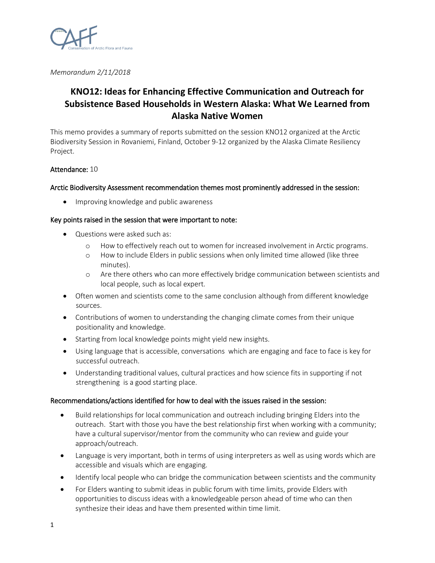

*Memorandum 2/11/2018*

# **KNO12: Ideas for Enhancing Effective Communication and Outreach for Subsistence Based Households in Western Alaska: What We Learned from Alaska Native Women**

This memo provides a summary of reports submitted on the session KNO12 organized at the Arctic Biodiversity Session in Rovaniemi, Finland, October 9-12 organized by the Alaska Climate Resiliency Project.

## Attendance: 10

## Arctic Biodiversity Assessment recommendation themes most prominently addressed in the session:

• Improving knowledge and public awareness

### Key points raised in the session that were important to note:

- Questions were asked such as:
	- o How to effectively reach out to women for increased involvement in Arctic programs.
	- o How to include Elders in public sessions when only limited time allowed (like three minutes).
	- o Are there others who can more effectively bridge communication between scientists and local people, such as local expert.
- Often women and scientists come to the same conclusion although from different knowledge sources.
- Contributions of women to understanding the changing climate comes from their unique positionality and knowledge.
- Starting from local knowledge points might yield new insights.
- Using language that is accessible, conversations which are engaging and face to face is key for successful outreach.
- Understanding traditional values, cultural practices and how science fits in supporting if not strengthening is a good starting place.

### Recommendations/actions identified for how to deal with the issues raised in the session:

- Build relationships for local communication and outreach including bringing Elders into the outreach. Start with those you have the best relationship first when working with a community; have a cultural supervisor/mentor from the community who can review and guide your approach/outreach.
- Language is very important, both in terms of using interpreters as well as using words which are accessible and visuals which are engaging.
- Identify local people who can bridge the communication between scientists and the community
- For Elders wanting to submit ideas in public forum with time limits, provide Elders with opportunities to discuss ideas with a knowledgeable person ahead of time who can then synthesize their ideas and have them presented within time limit.